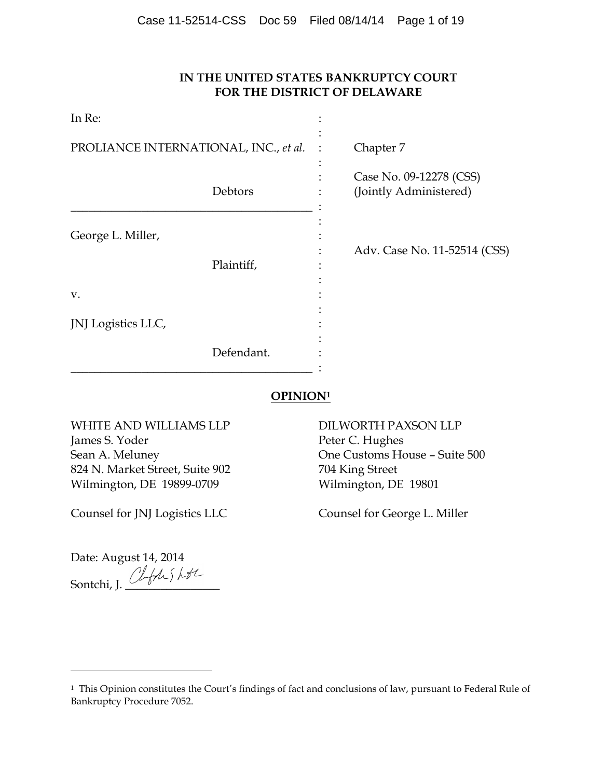# **IN THE UNITED STATES BANKRUPTCY COURT FOR THE DISTRICT OF DELAWARE**

| In Re:                                |            |                                                   |
|---------------------------------------|------------|---------------------------------------------------|
| PROLIANCE INTERNATIONAL, INC., et al. |            | Chapter 7                                         |
|                                       | Debtors    | Case No. 09-12278 (CSS)<br>(Jointly Administered) |
| George L. Miller,<br>V.               | Plaintiff, | Adv. Case No. 11-52514 (CSS)                      |
| JNJ Logistics LLC,                    | Defendant. |                                                   |

# **OPINION<sup>1</sup>**

WHITE AND WILLIAMS LLP DILWORTH PAXSON LLP James S. Yoder Peter C. Hughes 824 N. Market Street, Suite 902 704 King Street Wilmington, DE 19899-0709 Wilmington, DE 19801

Counsel for JNJ Logistics LLC Counsel for George L. Miller

Sean A. Meluney **One Customs House – Suite 500** 

Date: August 14, 2014 Sontchi, J.  $\frac{1}{2}$ 

<sup>&</sup>lt;sup>1</sup> This Opinion constitutes the Court's findings of fact and conclusions of law, pursuant to Federal Rule of Bankruptcy Procedure 7052.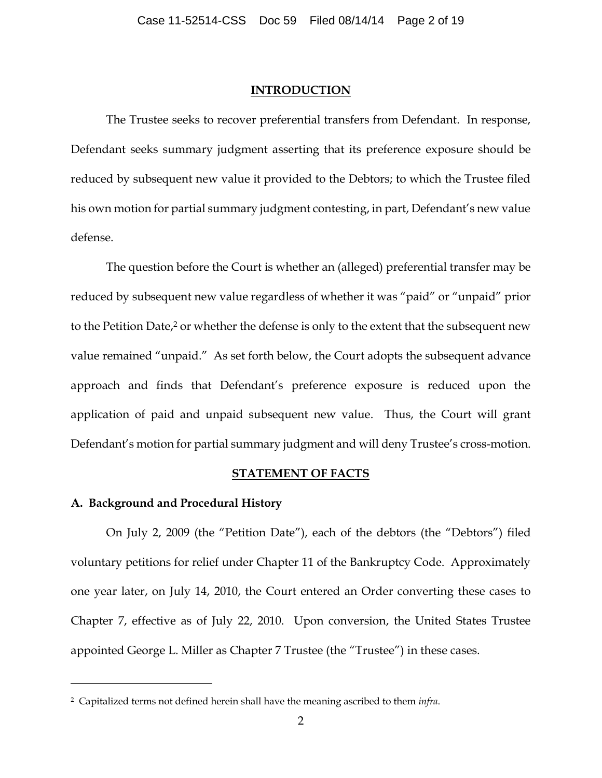#### **INTRODUCTION**

The Trustee seeks to recover preferential transfers from Defendant. In response, Defendant seeks summary judgment asserting that its preference exposure should be reduced by subsequent new value it provided to the Debtors; to which the Trustee filed his own motion for partial summary judgment contesting, in part, Defendant's new value defense.

The question before the Court is whether an (alleged) preferential transfer may be reduced by subsequent new value regardless of whether it was "paid" or "unpaid" prior to the Petition Date, <sup>2</sup> or whether the defense is only to the extent that the subsequent new value remained "unpaid." As set forth below, the Court adopts the subsequent advance approach and finds that Defendant's preference exposure is reduced upon the application of paid and unpaid subsequent new value. Thus, the Court will grant Defendant's motion for partial summary judgment and will deny Trustee's cross-motion.

### **STATEMENT OF FACTS**

### **A. Background and Procedural History**

 $\overline{a}$ 

On July 2, 2009 (the "Petition Date"), each of the debtors (the "Debtors") filed voluntary petitions for relief under Chapter 11 of the Bankruptcy Code. Approximately one year later, on July 14, 2010, the Court entered an Order converting these cases to Chapter 7, effective as of July 22, 2010. Upon conversion, the United States Trustee appointed George L. Miller as Chapter 7 Trustee (the "Trustee") in these cases.

<sup>2</sup> Capitalized terms not defined herein shall have the meaning ascribed to them *infra*.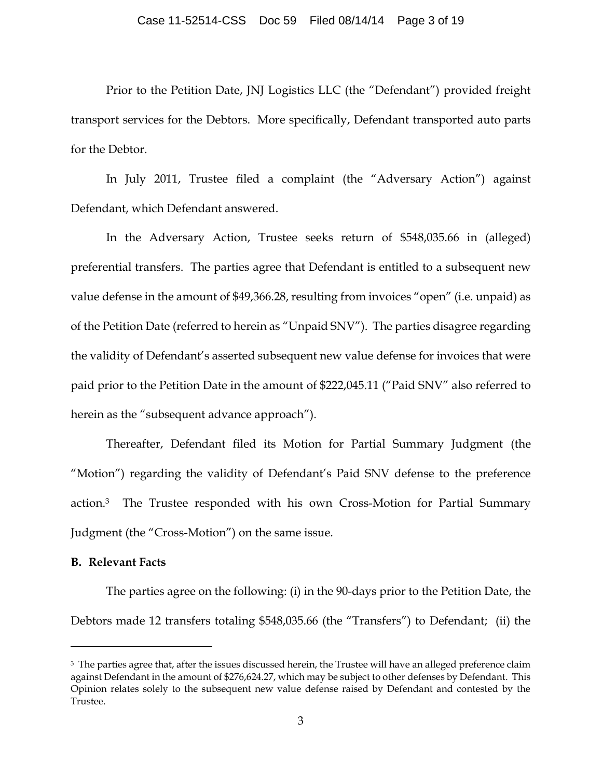#### Case 11-52514-CSS Doc 59 Filed 08/14/14 Page 3 of 19

Prior to the Petition Date, JNJ Logistics LLC (the "Defendant") provided freight transport services for the Debtors. More specifically, Defendant transported auto parts for the Debtor.

In July 2011, Trustee filed a complaint (the "Adversary Action") against Defendant, which Defendant answered.

In the Adversary Action, Trustee seeks return of \$548,035.66 in (alleged) preferential transfers. The parties agree that Defendant is entitled to a subsequent new value defense in the amount of \$49,366.28, resulting from invoices "open" (i.e. unpaid) as of the Petition Date (referred to herein as "Unpaid SNV"). The parties disagree regarding the validity of Defendant's asserted subsequent new value defense for invoices that were paid prior to the Petition Date in the amount of \$222,045.11 ("Paid SNV" also referred to herein as the "subsequent advance approach").

Thereafter, Defendant filed its Motion for Partial Summary Judgment (the "Motion") regarding the validity of Defendant's Paid SNV defense to the preference action. <sup>3</sup> The Trustee responded with his own Cross-Motion for Partial Summary Judgment (the "Cross-Motion") on the same issue.

### **B. Relevant Facts**

 $\overline{a}$ 

The parties agree on the following: (i) in the 90-days prior to the Petition Date, the Debtors made 12 transfers totaling \$548,035.66 (the "Transfers") to Defendant; (ii) the

 $^3$  The parties agree that, after the issues discussed herein, the Trustee will have an alleged preference claim against Defendant in the amount of \$276,624.27, which may be subject to other defenses by Defendant. This Opinion relates solely to the subsequent new value defense raised by Defendant and contested by the Trustee.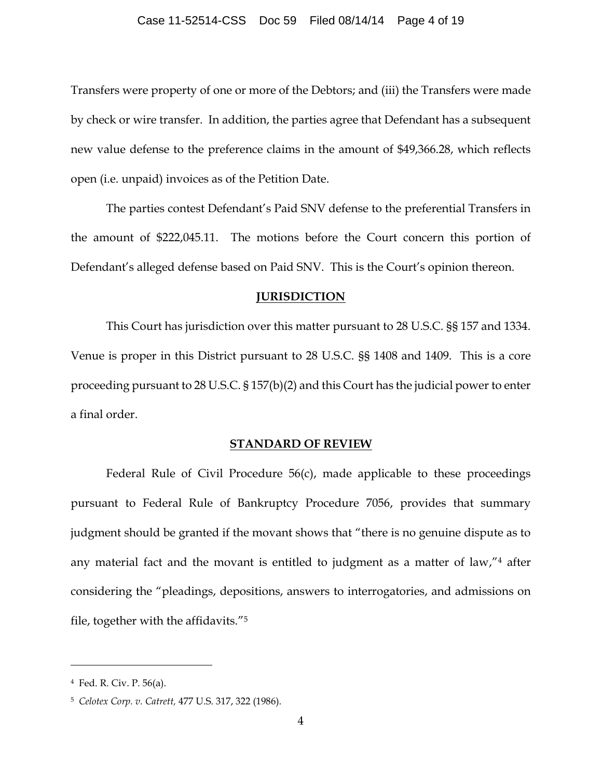Transfers were property of one or more of the Debtors; and (iii) the Transfers were made by check or wire transfer. In addition, the parties agree that Defendant has a subsequent new value defense to the preference claims in the amount of \$49,366.28, which reflects open (i.e. unpaid) invoices as of the Petition Date.

The parties contest Defendant's Paid SNV defense to the preferential Transfers in the amount of \$222,045.11. The motions before the Court concern this portion of Defendant's alleged defense based on Paid SNV. This is the Court's opinion thereon.

### **JURISDICTION**

This Court has jurisdiction over this matter pursuant to 28 U.S.C. §§ 157 and 1334. Venue is proper in this District pursuant to 28 U.S.C. §§ 1408 and 1409. This is a core proceeding pursuant to 28 U.S.C. § 157(b)(2) and this Court has the judicial power to enter a final order.

#### **STANDARD OF REVIEW**

Federal Rule of Civil Procedure 56(c), made applicable to these proceedings pursuant to Federal Rule of Bankruptcy Procedure 7056, provides that summary judgment should be granted if the movant shows that "there is no genuine dispute as to any material fact and the movant is entitled to judgment as a matter of law,"<sup>4</sup> after considering the "pleadings, depositions, answers to interrogatories, and admissions on file, together with the affidavits."<sup>5</sup>

<sup>4</sup> Fed. R. Civ. P. 56(a).

<sup>5</sup> *Celotex Corp. v. Catrett,* 477 U.S. 317, 322 (1986).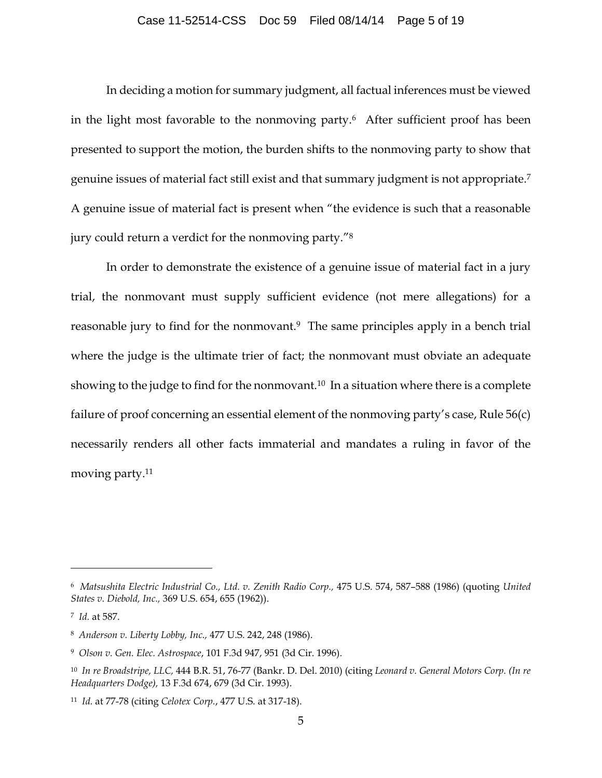In deciding a motion for summary judgment, all factual inferences must be viewed in the light most favorable to the nonmoving party.6 After sufficient proof has been presented to support the motion, the burden shifts to the nonmoving party to show that genuine issues of material fact still exist and that summary judgment is not appropriate.<sup>7</sup> A genuine issue of material fact is present when "the evidence is such that a reasonable jury could return a verdict for the nonmoving party."<sup>8</sup>

In order to demonstrate the existence of a genuine issue of material fact in a jury trial, the nonmovant must supply sufficient evidence (not mere allegations) for a reasonable jury to find for the nonmovant.<sup>9</sup> The same principles apply in a bench trial where the judge is the ultimate trier of fact; the nonmovant must obviate an adequate showing to the judge to find for the nonmovant.<sup>10</sup> In a situation where there is a complete failure of proof concerning an essential element of the nonmoving party's case, Rule 56(c) necessarily renders all other facts immaterial and mandates a ruling in favor of the moving party.<sup>11</sup>

<sup>6</sup> *Matsushita Electric Industrial Co., Ltd. v. Zenith Radio Corp.,* 475 U.S. 574, 587–588 (1986) (quoting *United States v. Diebold, Inc.,* 369 U.S. 654, 655 (1962)).

<sup>7</sup> *Id.* at 587.

<sup>8</sup> *Anderson v. Liberty Lobby, Inc.,* 477 U.S. 242, 248 (1986).

<sup>9</sup> *Olson v. Gen. Elec. Astrospace*, 101 F.3d 947, 951 (3d Cir. 1996).

<sup>10</sup> *In re Broadstripe, LLC,* 444 B.R. 51, 76-77 (Bankr. D. Del. 2010) (citing *Leonard v. General Motors Corp. (In re Headquarters Dodge),* 13 F.3d 674, 679 (3d Cir. 1993).

<sup>11</sup> *Id.* at 77-78 (citing *Celotex Corp.*, 477 U.S. at 317-18).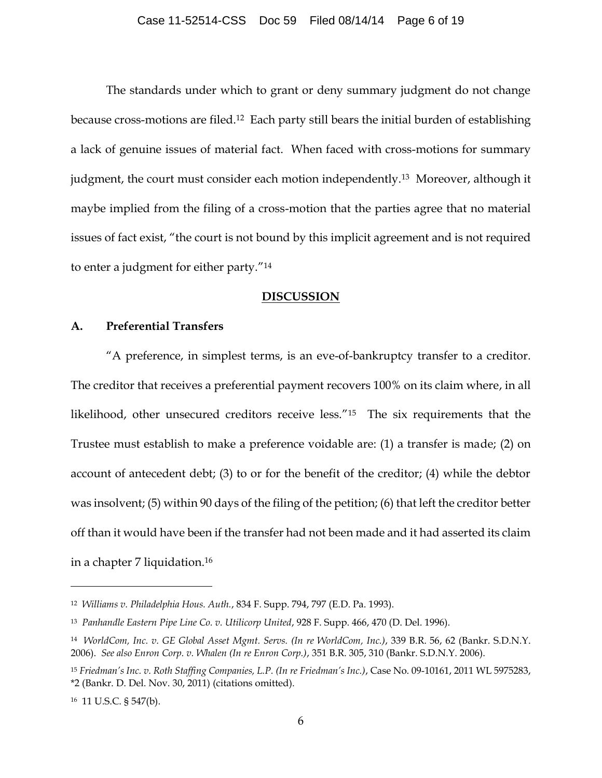The standards under which to grant or deny summary judgment do not change because cross-motions are filed.12 Each party still bears the initial burden of establishing a lack of genuine issues of material fact. When faced with cross-motions for summary judgment, the court must consider each motion independently.13 Moreover, although it maybe implied from the filing of a cross-motion that the parties agree that no material issues of fact exist, "the court is not bound by this implicit agreement and is not required to enter a judgment for either party."<sup>14</sup>

### **DISCUSSION**

## **A. Preferential Transfers**

"A preference, in simplest terms, is an eve-of-bankruptcy transfer to a creditor. The creditor that receives a preferential payment recovers 100% on its claim where, in all likelihood, other unsecured creditors receive less."<sup>15</sup> The six requirements that the Trustee must establish to make a preference voidable are: (1) a transfer is made; (2) on account of antecedent debt; (3) to or for the benefit of the creditor; (4) while the debtor was insolvent; (5) within 90 days of the filing of the petition; (6) that left the creditor better off than it would have been if the transfer had not been made and it had asserted its claim in a chapter 7 liquidation.<sup>16</sup>

<sup>12</sup> *Williams v. Philadelphia Hous. Auth.*, 834 F. Supp. 794, 797 (E.D. Pa. 1993).

<sup>13</sup> *Panhandle Eastern Pipe Line Co. v. Utilicorp United*, 928 F. Supp. 466, 470 (D. Del. 1996).

<sup>14</sup> *WorldCom, Inc. v. GE Global Asset Mgmt. Servs. (In re WorldCom, Inc.)*, 339 B.R. 56, 62 (Bankr. S.D.N.Y. 2006). *See also Enron Corp. v. Whalen (In re Enron Corp.)*, 351 B.R. 305, 310 (Bankr. S.D.N.Y. 2006).

<sup>15</sup> *Friedman's Inc. v. Roth Staffing Companies, L.P. (In re Friedman's Inc.)*, Case No. 09-10161, 2011 WL 5975283, \*2 (Bankr. D. Del. Nov. 30, 2011) (citations omitted).

<sup>16</sup> 11 U.S.C. § 547(b).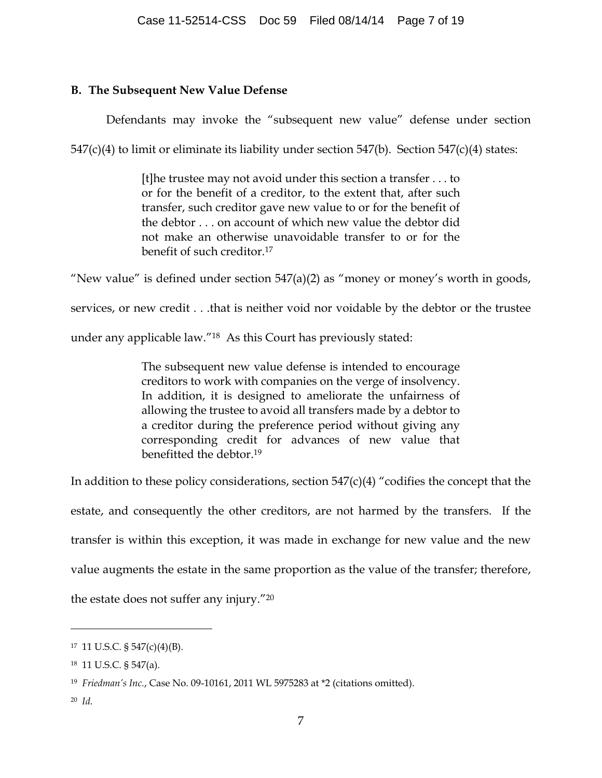## **B. The Subsequent New Value Defense**

Defendants may invoke the "subsequent new value" defense under section

547(c)(4) to limit or eliminate its liability under section 547(b). Section 547(c)(4) states:

[t]he trustee may not avoid under this section a transfer . . . to or for the benefit of a creditor, to the extent that, after such transfer, such creditor gave new value to or for the benefit of the debtor . . . on account of which new value the debtor did not make an otherwise unavoidable transfer to or for the benefit of such creditor.<sup>17</sup>

"New value" is defined under section  $547(a)(2)$  as "money or money's worth in goods,

services, or new credit . . .that is neither void nor voidable by the debtor or the trustee

under any applicable law."18 As this Court has previously stated:

The subsequent new value defense is intended to encourage creditors to work with companies on the verge of insolvency. In addition, it is designed to ameliorate the unfairness of allowing the trustee to avoid all transfers made by a debtor to a creditor during the preference period without giving any corresponding credit for advances of new value that benefitted the debtor.<sup>19</sup>

In addition to these policy considerations, section  $547(c)(4)$  "codifies the concept that the estate, and consequently the other creditors, are not harmed by the transfers. If the transfer is within this exception, it was made in exchange for new value and the new value augments the estate in the same proportion as the value of the transfer; therefore, the estate does not suffer any injury."<sup>20</sup>

<sup>17</sup> 11 U.S.C. § 547(c)(4)(B).

<sup>18</sup> 11 U.S.C. § 547(a).

<sup>19</sup> *Friedman's Inc.*, Case No. 09-10161, 2011 WL 5975283 at \*2 (citations omitted).

<sup>20</sup> *Id.*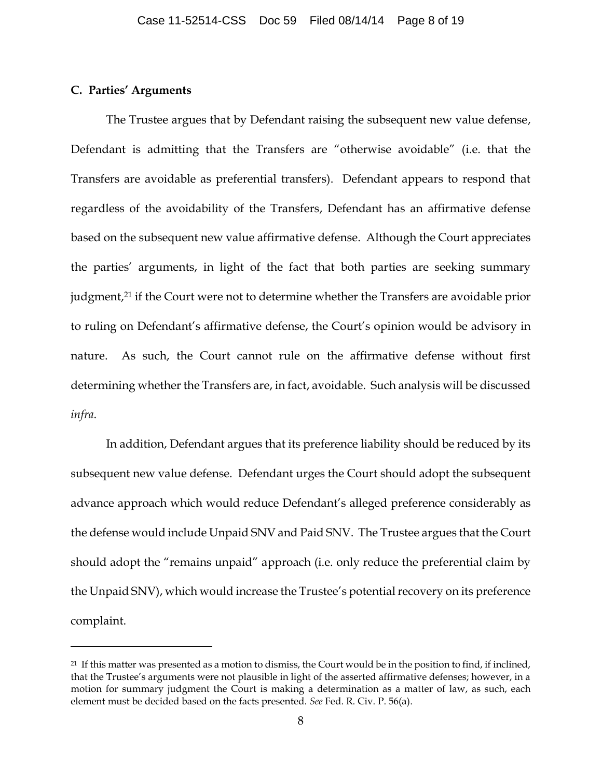#### **C. Parties' Arguments**

 $\overline{a}$ 

The Trustee argues that by Defendant raising the subsequent new value defense, Defendant is admitting that the Transfers are "otherwise avoidable" (i.e. that the Transfers are avoidable as preferential transfers). Defendant appears to respond that regardless of the avoidability of the Transfers, Defendant has an affirmative defense based on the subsequent new value affirmative defense. Although the Court appreciates the parties' arguments, in light of the fact that both parties are seeking summary judgment, <sup>21</sup> if the Court were not to determine whether the Transfers are avoidable prior to ruling on Defendant's affirmative defense, the Court's opinion would be advisory in nature. As such, the Court cannot rule on the affirmative defense without first determining whether the Transfers are, in fact, avoidable. Such analysis will be discussed *infra*.

In addition, Defendant argues that its preference liability should be reduced by its subsequent new value defense. Defendant urges the Court should adopt the subsequent advance approach which would reduce Defendant's alleged preference considerably as the defense would include Unpaid SNV and Paid SNV. The Trustee argues that the Court should adopt the "remains unpaid" approach (i.e. only reduce the preferential claim by the Unpaid SNV), which would increase the Trustee's potential recovery on its preference complaint.

 $21$  If this matter was presented as a motion to dismiss, the Court would be in the position to find, if inclined, that the Trustee's arguments were not plausible in light of the asserted affirmative defenses; however, in a motion for summary judgment the Court is making a determination as a matter of law, as such, each element must be decided based on the facts presented. *See* Fed. R. Civ. P. 56(a).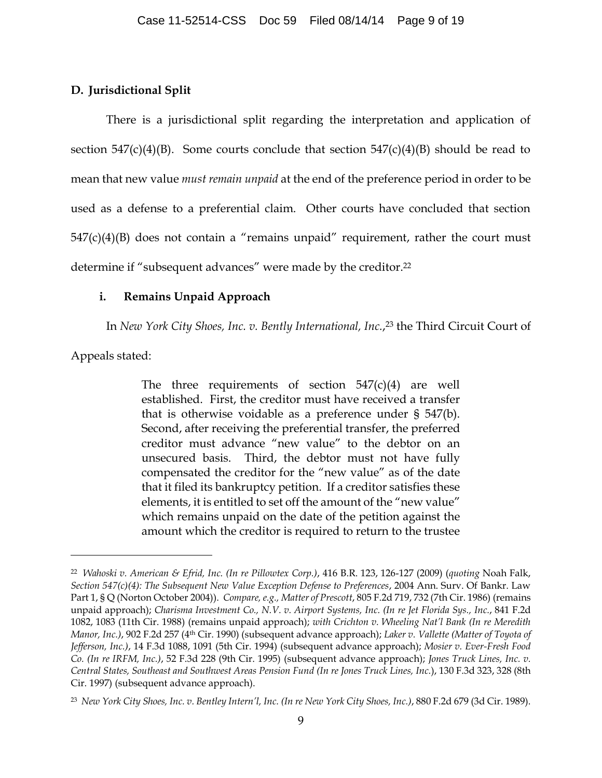### **D. Jurisdictional Split**

There is a jurisdictional split regarding the interpretation and application of section  $547(c)(4)(B)$ . Some courts conclude that section  $547(c)(4)(B)$  should be read to mean that new value *must remain unpaid* at the end of the preference period in order to be used as a defense to a preferential claim. Other courts have concluded that section  $547(c)(4)(B)$  does not contain a "remains unpaid" requirement, rather the court must determine if "subsequent advances" were made by the creditor.<sup>22</sup>

## **i. Remains Unpaid Approach**

In *New York City Shoes, Inc. v. Bently International, Inc.*, <sup>23</sup> the Third Circuit Court of

Appeals stated:

 $\overline{a}$ 

The three requirements of section  $547(c)(4)$  are well established. First, the creditor must have received a transfer that is otherwise voidable as a preference under § 547(b). Second, after receiving the preferential transfer, the preferred creditor must advance "new value" to the debtor on an unsecured basis. Third, the debtor must not have fully compensated the creditor for the "new value" as of the date that it filed its bankruptcy petition. If a creditor satisfies these elements, it is entitled to set off the amount of the "new value" which remains unpaid on the date of the petition against the amount which the creditor is required to return to the trustee

<sup>22</sup> *Wahoski v. American & Efrid, Inc. (In re Pillowtex Corp.)*, 416 B.R. 123, 126-127 (2009) (*quoting* Noah Falk, *Section 547(c)(4): The Subsequent New Value Exception Defense to Preferences*, 2004 Ann. Surv. Of Bankr. Law Part 1, § Q (Norton October 2004)). *Compare, e.g., Matter of Prescott*, 805 F.2d 719, 732 (7th Cir. 1986) (remains unpaid approach); *Charisma Investment Co., N.V. v. Airport Systems, Inc. (In re Jet Florida Sys., Inc.*, 841 F.2d 1082, 1083 (11th Cir. 1988) (remains unpaid approach); *with Crichton v. Wheeling Nat'l Bank (In re Meredith Manor, Inc.)*, 902 F.2d 257 (4th Cir. 1990) (subsequent advance approach); *Laker v. Vallette (Matter of Toyota of Jefferson, Inc.)*, 14 F.3d 1088, 1091 (5th Cir. 1994) (subsequent advance approach); *Mosier v. Ever-Fresh Food Co. (In re IRFM, Inc.)*, 52 F.3d 228 (9th Cir. 1995) (subsequent advance approach); *Jones Truck Lines, Inc. v. Central States, Southeast and Southwest Areas Pension Fund (In re Jones Truck Lines, Inc.*), 130 F.3d 323, 328 (8th Cir. 1997) (subsequent advance approach).

<sup>23</sup> *New York City Shoes, Inc. v. Bentley Intern'l, Inc. (In re New York City Shoes, Inc.)*, 880 F.2d 679 (3d Cir. 1989).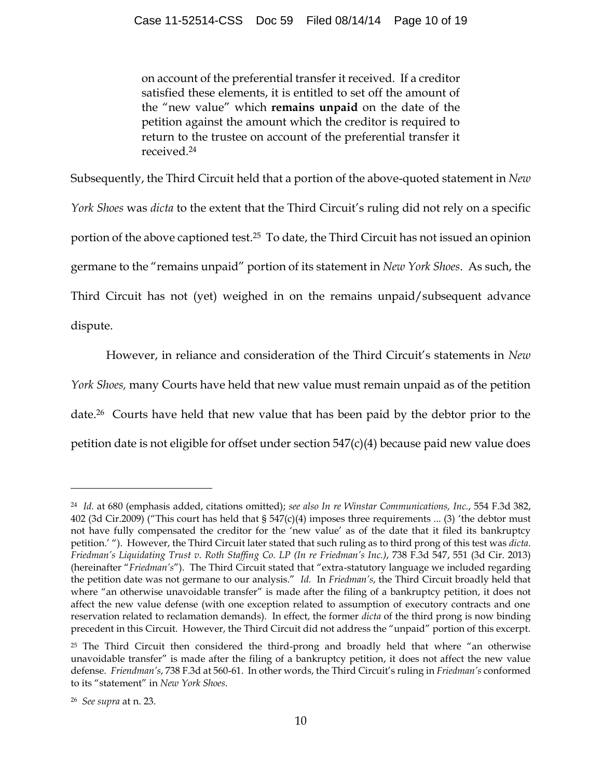on account of the preferential transfer it received. If a creditor satisfied these elements, it is entitled to set off the amount of the "new value" which **remains unpaid** on the date of the petition against the amount which the creditor is required to return to the trustee on account of the preferential transfer it received.<sup>24</sup>

Subsequently, the Third Circuit held that a portion of the above-quoted statement in *New York Shoes* was *dicta* to the extent that the Third Circuit's ruling did not rely on a specific portion of the above captioned test.25 To date, the Third Circuit has not issued an opinion germane to the "remains unpaid" portion of its statement in *New York Shoes*. As such, the Third Circuit has not (yet) weighed in on the remains unpaid/subsequent advance dispute.

However, in reliance and consideration of the Third Circuit's statements in *New York Shoes,* many Courts have held that new value must remain unpaid as of the petition date.26 Courts have held that new value that has been paid by the debtor prior to the petition date is not eligible for offset under section 547(c)(4) because paid new value does

<sup>24</sup> *Id.* at 680 (emphasis added, citations omitted); *see also In re Winstar Communications, Inc.*, 554 F.3d 382, 402 (3d Cir.2009) ("This court has held that § 547(c)(4) imposes three requirements ... (3) 'the debtor must not have fully compensated the creditor for the 'new value' as of the date that it filed its bankruptcy petition.' "). However, the Third Circuit later stated that such ruling as to third prong of this test was *dicta*. *Friedman's Liquidating Trust v. Roth Staffing Co. LP (In re Friedman's Inc.)*, 738 F.3d 547, 551 (3d Cir. 2013) (hereinafter "*Friedman's*"). The Third Circuit stated that "extra-statutory language we included regarding the petition date was not germane to our analysis." *Id.* In *Friedman's*, the Third Circuit broadly held that where "an otherwise unavoidable transfer" is made after the filing of a bankruptcy petition, it does not affect the new value defense (with one exception related to assumption of executory contracts and one reservation related to reclamation demands). In effect, the former *dicta* of the third prong is now binding precedent in this Circuit. However, the Third Circuit did not address the "unpaid" portion of this excerpt.

 $25$  The Third Circuit then considered the third-prong and broadly held that where "an otherwise unavoidable transfer" is made after the filing of a bankruptcy petition, it does not affect the new value defense. *Friendman's*, 738 F.3d at 560-61. In other words, the Third Circuit's ruling in *Friedman's* conformed to its "statement" in *New York Shoes*.

<sup>26</sup> *See supra* at n. 23.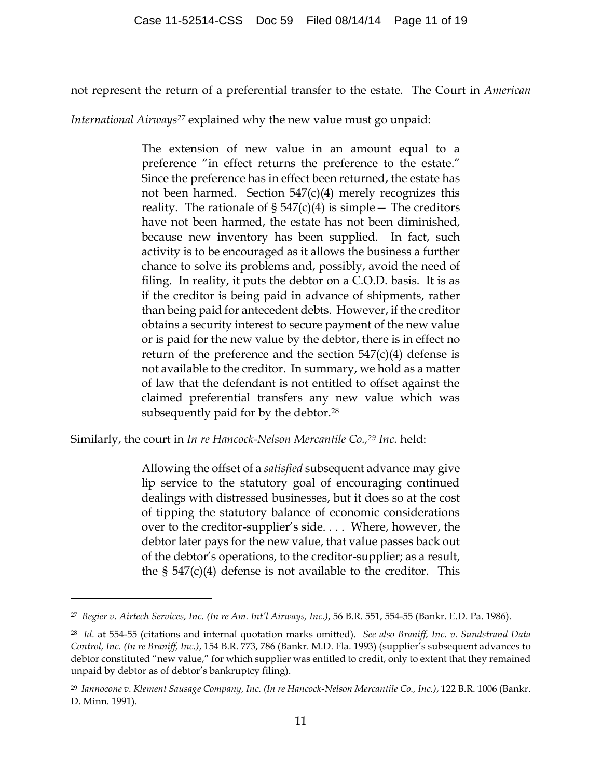not represent the return of a preferential transfer to the estate. The Court in *American* 

*International Airways<sup>27</sup>* explained why the new value must go unpaid:

The extension of new value in an amount equal to a preference "in effect returns the preference to the estate." Since the preference has in effect been returned, the estate has not been harmed. Section  $547(c)(4)$  merely recognizes this reality. The rationale of  $\S 547(c)(4)$  is simple – The creditors have not been harmed, the estate has not been diminished, because new inventory has been supplied. In fact, such activity is to be encouraged as it allows the business a further chance to solve its problems and, possibly, avoid the need of filing. In reality, it puts the debtor on a C.O.D. basis. It is as if the creditor is being paid in advance of shipments, rather than being paid for antecedent debts. However, if the creditor obtains a security interest to secure payment of the new value or is paid for the new value by the debtor, there is in effect no return of the preference and the section  $547(c)(4)$  defense is not available to the creditor. In summary, we hold as a matter of law that the defendant is not entitled to offset against the claimed preferential transfers any new value which was subsequently paid for by the debtor.<sup>28</sup>

Similarly, the court in *In re Hancock-Nelson Mercantile Co.,<sup>29</sup> Inc.* held:

 $\overline{a}$ 

Allowing the offset of a *satisfied* subsequent advance may give lip service to the statutory goal of encouraging continued dealings with distressed businesses, but it does so at the cost of tipping the statutory balance of economic considerations over to the creditor-supplier's side. . . . Where, however, the debtor later pays for the new value, that value passes back out of the debtor's operations, to the creditor-supplier; as a result, the  $\S$  547(c)(4) defense is not available to the creditor. This

<sup>27</sup> *Begier v. Airtech Services, Inc. (In re Am. Int'l Airways, Inc.)*, 56 B.R. 551, 554-55 (Bankr. E.D. Pa. 1986).

<sup>28</sup> *Id.* at 554-55 (citations and internal quotation marks omitted). *See also Braniff, Inc. v. Sundstrand Data Control, Inc. (In re Braniff, Inc.)*, 154 B.R. 773, 786 (Bankr. M.D. Fla. 1993) (supplier's subsequent advances to debtor constituted "new value," for which supplier was entitled to credit, only to extent that they remained unpaid by debtor as of debtor's bankruptcy filing).

<sup>29</sup> *Iannocone v. Klement Sausage Company, Inc. (In re Hancock-Nelson Mercantile Co., Inc.)*, 122 B.R. 1006 (Bankr. D. Minn. 1991).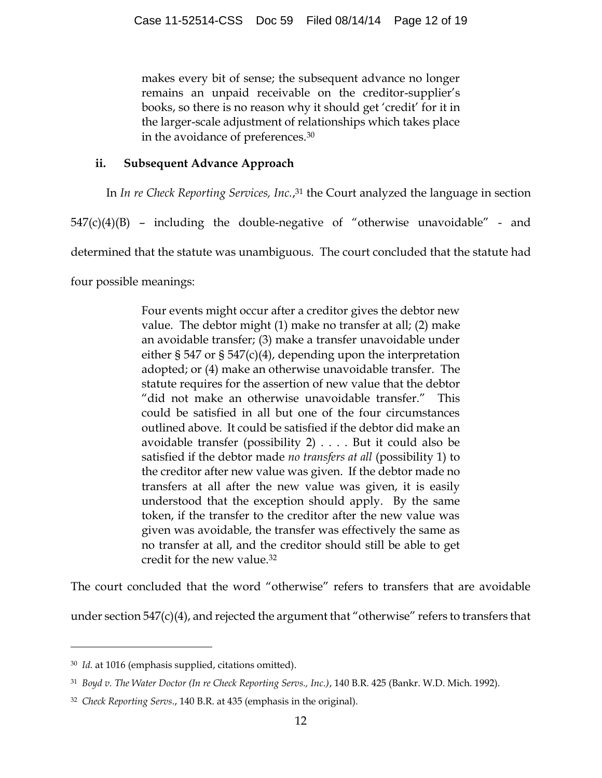makes every bit of sense; the subsequent advance no longer remains an unpaid receivable on the creditor-supplier's books, so there is no reason why it should get 'credit' for it in the larger-scale adjustment of relationships which takes place in the avoidance of preferences.<sup>30</sup>

# **ii. Subsequent Advance Approach**

In *In re Check Reporting Services, Inc.*, <sup>31</sup> the Court analyzed the language in section

 $547(c)(4)(B)$  – including the double-negative of "otherwise unavoidable" - and

determined that the statute was unambiguous. The court concluded that the statute had

four possible meanings:

Four events might occur after a creditor gives the debtor new value. The debtor might (1) make no transfer at all; (2) make an avoidable transfer; (3) make a transfer unavoidable under either § 547 or § 547(c)(4), depending upon the interpretation adopted; or (4) make an otherwise unavoidable transfer. The statute requires for the assertion of new value that the debtor "did not make an otherwise unavoidable transfer." This could be satisfied in all but one of the four circumstances outlined above. It could be satisfied if the debtor did make an avoidable transfer (possibility 2) . . . . But it could also be satisfied if the debtor made *no transfers at all* (possibility 1) to the creditor after new value was given. If the debtor made no transfers at all after the new value was given, it is easily understood that the exception should apply. By the same token, if the transfer to the creditor after the new value was given was avoidable, the transfer was effectively the same as no transfer at all, and the creditor should still be able to get credit for the new value.<sup>32</sup>

The court concluded that the word "otherwise" refers to transfers that are avoidable

under section 547(c)(4), and rejected the argument that "otherwise" refers to transfers that

<sup>30</sup> *Id.* at 1016 (emphasis supplied, citations omitted).

<sup>31</sup> *Boyd v. The Water Doctor (In re Check Reporting Servs., Inc.)*, 140 B.R. 425 (Bankr. W.D. Mich. 1992).

<sup>32</sup> *Check Reporting Servs.*, 140 B.R. at 435 (emphasis in the original).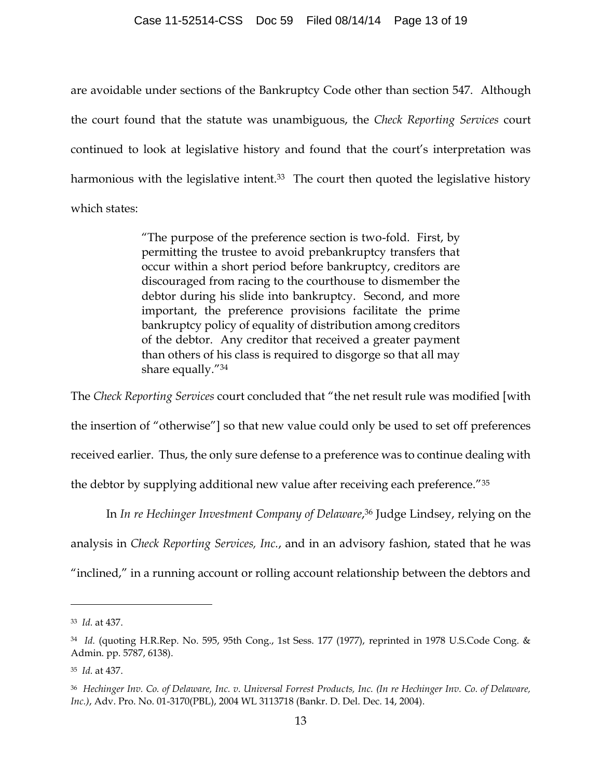are avoidable under sections of the Bankruptcy Code other than section 547. Although the court found that the statute was unambiguous, the *Check Reporting Services* court continued to look at legislative history and found that the court's interpretation was harmonious with the legislative intent.<sup>33</sup> The court then quoted the legislative history which states:

> "The purpose of the preference section is two-fold. First, by permitting the trustee to avoid prebankruptcy transfers that occur within a short period before bankruptcy, creditors are discouraged from racing to the courthouse to dismember the debtor during his slide into bankruptcy. Second, and more important, the preference provisions facilitate the prime bankruptcy policy of equality of distribution among creditors of the debtor. Any creditor that received a greater payment than others of his class is required to disgorge so that all may share equally."<sup>34</sup>

The *Check Reporting Services* court concluded that "the net result rule was modified [with the insertion of "otherwise"] so that new value could only be used to set off preferences received earlier. Thus, the only sure defense to a preference was to continue dealing with the debtor by supplying additional new value after receiving each preference."<sup>35</sup>

In *In re Hechinger Investment Company of Delaware*, <sup>36</sup> Judge Lindsey, relying on the analysis in *Check Reporting Services, Inc.*, and in an advisory fashion, stated that he was "inclined," in a running account or rolling account relationship between the debtors and

<sup>33</sup> *Id.* at 437.

<sup>34</sup> *Id.* (quoting H.R.Rep. No. 595, 95th Cong., 1st Sess. 177 (1977), reprinted in 1978 U.S.Code Cong. & Admin. pp. 5787, 6138).

<sup>35</sup> *Id.* at 437.

<sup>36</sup> *Hechinger Inv. Co. of Delaware, Inc. v. Universal Forrest Products, Inc. (In re Hechinger Inv. Co. of Delaware, Inc.)*, Adv. Pro. No. 01-3170(PBL), 2004 WL 3113718 (Bankr. D. Del. Dec. 14, 2004).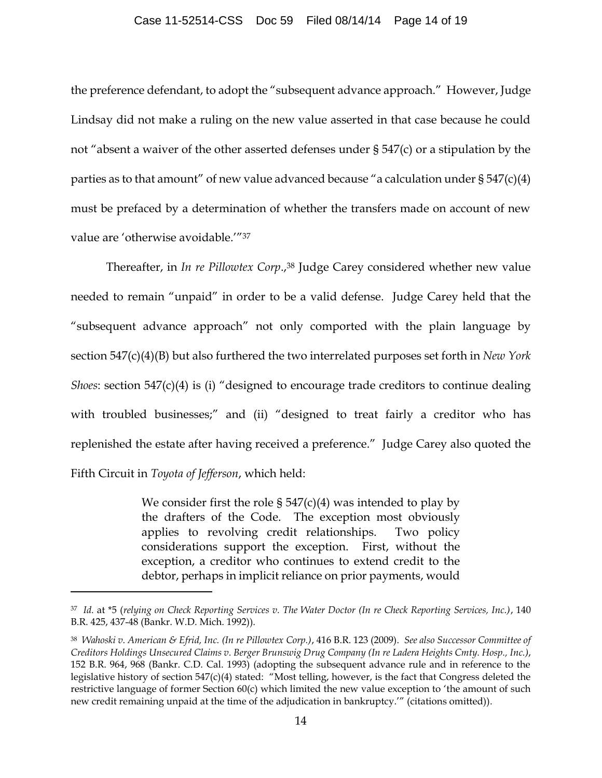#### Case 11-52514-CSS Doc 59 Filed 08/14/14 Page 14 of 19

the preference defendant, to adopt the "subsequent advance approach." However, Judge Lindsay did not make a ruling on the new value asserted in that case because he could not "absent a waiver of the other asserted defenses under § 547(c) or a stipulation by the parties as to that amount" of new value advanced because "a calculation under § 547(c)(4) must be prefaced by a determination of whether the transfers made on account of new value are 'otherwise avoidable.'"<sup>37</sup>

Thereafter, in *In re Pillowtex Corp*., <sup>38</sup> Judge Carey considered whether new value needed to remain "unpaid" in order to be a valid defense. Judge Carey held that the "subsequent advance approach" not only comported with the plain language by section 547(c)(4)(B) but also furthered the two interrelated purposes set forth in *New York Shoes*: section 547(c)(4) is (i) "designed to encourage trade creditors to continue dealing with troubled businesses;" and (ii) "designed to treat fairly a creditor who has replenished the estate after having received a preference." Judge Carey also quoted the Fifth Circuit in *Toyota of Jefferson*, which held:

> We consider first the role  $\S 547(c)(4)$  was intended to play by the drafters of the Code. The exception most obviously applies to revolving credit relationships. Two policy considerations support the exception. First, without the exception, a creditor who continues to extend credit to the debtor, perhaps in implicit reliance on prior payments, would

<sup>37</sup> *Id.* at \*5 (*relying on Check Reporting Services v. The Water Doctor (In re Check Reporting Services, Inc.)*, 140 B.R. 425, 437-48 (Bankr. W.D. Mich. 1992)).

<sup>38</sup> *Wahoski v. American & Efrid, Inc. (In re Pillowtex Corp.)*, 416 B.R. 123 (2009). *See also Successor Committee of Creditors Holdings Unsecured Claims v. Berger Brunswig Drug Company (In re Ladera Heights Cmty. Hosp., Inc.)*, 152 B.R. 964, 968 (Bankr. C.D. Cal. 1993) (adopting the subsequent advance rule and in reference to the legislative history of section 547(c)(4) stated: "Most telling, however, is the fact that Congress deleted the restrictive language of former Section 60(c) which limited the new value exception to 'the amount of such new credit remaining unpaid at the time of the adjudication in bankruptcy.'" (citations omitted)).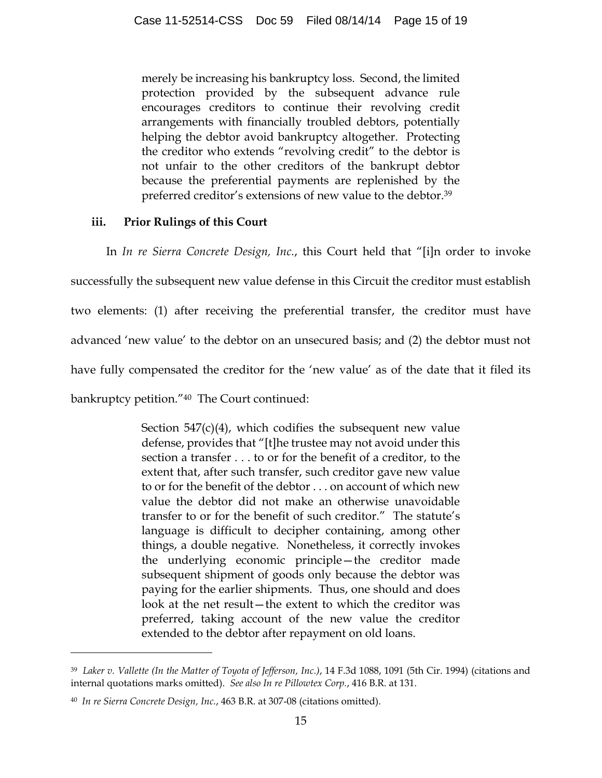merely be increasing his bankruptcy loss. Second, the limited protection provided by the subsequent advance rule encourages creditors to continue their revolving credit arrangements with financially troubled debtors, potentially helping the debtor avoid bankruptcy altogether. Protecting the creditor who extends "revolving credit" to the debtor is not unfair to the other creditors of the bankrupt debtor because the preferential payments are replenished by the preferred creditor's extensions of new value to the debtor.<sup>39</sup>

# **iii. Prior Rulings of this Court**

In *In re Sierra Concrete Design, Inc.*, this Court held that "[i]n order to invoke successfully the subsequent new value defense in this Circuit the creditor must establish two elements: (1) after receiving the preferential transfer, the creditor must have advanced 'new value' to the debtor on an unsecured basis; and (2) the debtor must not have fully compensated the creditor for the 'new value' as of the date that it filed its bankruptcy petition."40 The Court continued:

> Section  $547(c)(4)$ , which codifies the subsequent new value defense, provides that "[t]he trustee may not avoid under this section a transfer . . . to or for the benefit of a creditor, to the extent that, after such transfer, such creditor gave new value to or for the benefit of the debtor . . . on account of which new value the debtor did not make an otherwise unavoidable transfer to or for the benefit of such creditor." The statute's language is difficult to decipher containing, among other things, a double negative. Nonetheless, it correctly invokes the underlying economic principle—the creditor made subsequent shipment of goods only because the debtor was paying for the earlier shipments. Thus, one should and does look at the net result—the extent to which the creditor was preferred, taking account of the new value the creditor extended to the debtor after repayment on old loans.

<sup>39</sup> *Laker v. Vallette (In the Matter of Toyota of Jefferson, Inc.)*, 14 F.3d 1088, 1091 (5th Cir. 1994) (citations and internal quotations marks omitted). *See also In re Pillowtex Corp.*, 416 B.R. at 131.

<sup>40</sup> *In re Sierra Concrete Design, Inc.*, 463 B.R. at 307-08 (citations omitted).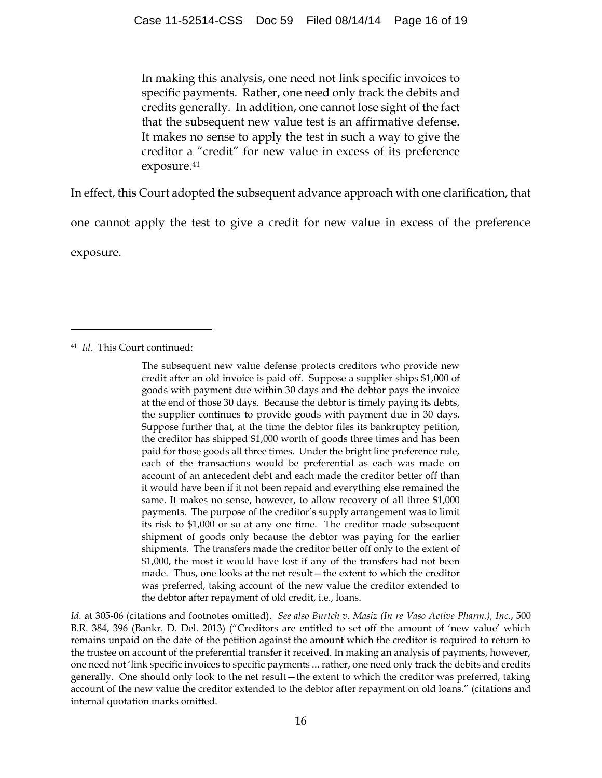In making this analysis, one need not link specific invoices to specific payments. Rather, one need only track the debits and credits generally. In addition, one cannot lose sight of the fact that the subsequent new value test is an affirmative defense. It makes no sense to apply the test in such a way to give the creditor a "credit" for new value in excess of its preference exposure.<sup>41</sup>

In effect, this Court adopted the subsequent advance approach with one clarification, that

one cannot apply the test to give a credit for new value in excess of the preference

exposure.

 $\overline{a}$ 

*Id.* at 305-06 (citations and footnotes omitted). *See also Burtch v. Masiz (In re Vaso Active Pharm.), Inc.*, 500 B.R. 384, 396 (Bankr. D. Del. 2013) ("Creditors are entitled to set off the amount of 'new value' which remains unpaid on the date of the petition against the amount which the creditor is required to return to the trustee on account of the preferential transfer it received. In making an analysis of payments, however, one need not 'link specific invoices to specific payments ... rather, one need only track the debits and credits generally. One should only look to the net result—the extent to which the creditor was preferred, taking account of the new value the creditor extended to the debtor after repayment on old loans." (citations and internal quotation marks omitted.

<sup>41</sup> *Id.* This Court continued:

The subsequent new value defense protects creditors who provide new credit after an old invoice is paid off. Suppose a supplier ships \$1,000 of goods with payment due within 30 days and the debtor pays the invoice at the end of those 30 days. Because the debtor is timely paying its debts, the supplier continues to provide goods with payment due in 30 days. Suppose further that, at the time the debtor files its bankruptcy petition, the creditor has shipped \$1,000 worth of goods three times and has been paid for those goods all three times. Under the bright line preference rule, each of the transactions would be preferential as each was made on account of an antecedent debt and each made the creditor better off than it would have been if it not been repaid and everything else remained the same. It makes no sense, however, to allow recovery of all three \$1,000 payments. The purpose of the creditor's supply arrangement was to limit its risk to \$1,000 or so at any one time. The creditor made subsequent shipment of goods only because the debtor was paying for the earlier shipments. The transfers made the creditor better off only to the extent of \$1,000, the most it would have lost if any of the transfers had not been made. Thus, one looks at the net result—the extent to which the creditor was preferred, taking account of the new value the creditor extended to the debtor after repayment of old credit, i.e., loans.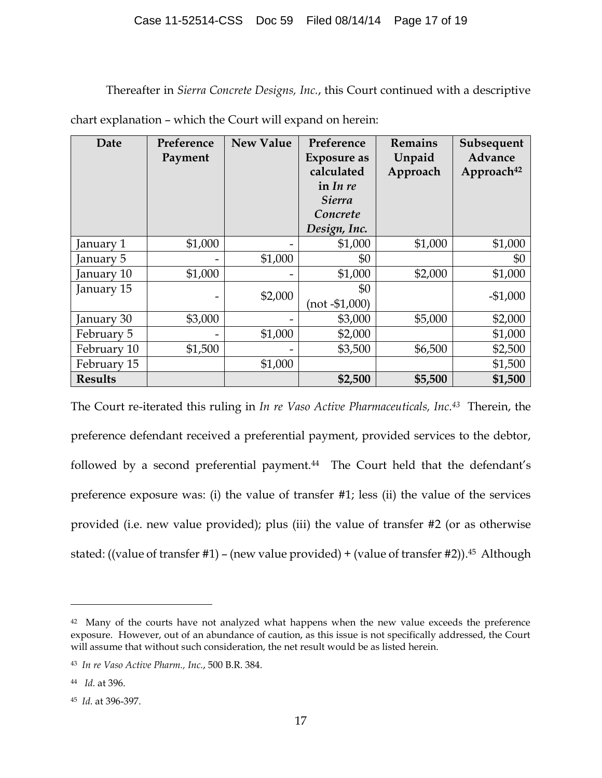### Case 11-52514-CSS Doc 59 Filed 08/14/14 Page 17 of 19

Thereafter in *Sierra Concrete Designs, Inc.*, this Court continued with a descriptive

| Date           | Preference<br>Payment | <b>New Value</b> | Preference<br>Exposure as<br>calculated<br>in In re<br><b>Sierra</b><br>Concrete<br>Design, Inc. | <b>Remains</b><br>Unpaid<br>Approach | Subsequent<br>Advance<br>Approach <sup>42</sup> |
|----------------|-----------------------|------------------|--------------------------------------------------------------------------------------------------|--------------------------------------|-------------------------------------------------|
| January 1      | \$1,000               |                  | \$1,000                                                                                          | \$1,000                              | \$1,000                                         |
| January 5      |                       | \$1,000          | \$0                                                                                              |                                      | \$0                                             |
| January 10     | \$1,000               |                  | \$1,000                                                                                          | \$2,000                              | \$1,000                                         |
| January 15     |                       | \$2,000          | \$0<br>$(not - $1,000)$                                                                          |                                      | $-$1,000$                                       |
| January 30     | \$3,000               |                  | \$3,000                                                                                          | \$5,000                              | \$2,000                                         |
| February 5     |                       | \$1,000          | \$2,000                                                                                          |                                      | \$1,000                                         |
| February 10    | \$1,500               |                  | \$3,500                                                                                          | \$6,500                              | \$2,500                                         |
| February 15    |                       | \$1,000          |                                                                                                  |                                      | \$1,500                                         |
| <b>Results</b> |                       |                  | \$2,500                                                                                          | \$5,500                              | \$1,500                                         |

chart explanation – which the Court will expand on herein:

The Court re-iterated this ruling in *In re Vaso Active Pharmaceuticals, Inc.43* Therein, the preference defendant received a preferential payment, provided services to the debtor, followed by a second preferential payment.<sup>44</sup> The Court held that the defendant's preference exposure was: (i) the value of transfer #1; less (ii) the value of the services provided (i.e. new value provided); plus (iii) the value of transfer #2 (or as otherwise stated: ((value of transfer #1) – (new value provided) + (value of transfer #2)). <sup>45</sup> Although

<sup>&</sup>lt;sup>42</sup> Many of the courts have not analyzed what happens when the new value exceeds the preference exposure. However, out of an abundance of caution, as this issue is not specifically addressed, the Court will assume that without such consideration, the net result would be as listed herein.

<sup>43</sup> *In re Vaso Active Pharm., Inc.*, 500 B.R. 384.

<sup>44</sup> *Id.* at 396.

<sup>45</sup> *Id.* at 396-397.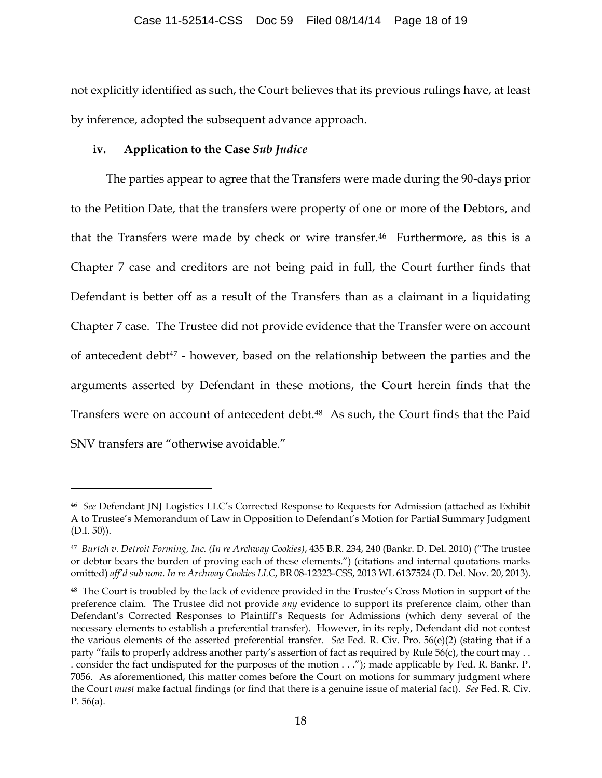not explicitly identified as such, the Court believes that its previous rulings have, at least by inference, adopted the subsequent advance approach.

### **iv. Application to the Case** *Sub Judice*

 $\overline{a}$ 

The parties appear to agree that the Transfers were made during the 90-days prior to the Petition Date, that the transfers were property of one or more of the Debtors, and that the Transfers were made by check or wire transfer.46 Furthermore, as this is a Chapter 7 case and creditors are not being paid in full, the Court further finds that Defendant is better off as a result of the Transfers than as a claimant in a liquidating Chapter 7 case. The Trustee did not provide evidence that the Transfer were on account of antecedent debt<sup>47</sup> - however, based on the relationship between the parties and the arguments asserted by Defendant in these motions, the Court herein finds that the Transfers were on account of antecedent debt.<sup>48</sup> As such, the Court finds that the Paid SNV transfers are "otherwise avoidable."

<sup>46</sup> *See* Defendant JNJ Logistics LLC's Corrected Response to Requests for Admission (attached as Exhibit A to Trustee's Memorandum of Law in Opposition to Defendant's Motion for Partial Summary Judgment (D.I. 50)).

<sup>47</sup> *Burtch v. Detroit Forming, Inc. (In re Archway Cookies)*, 435 B.R. 234, 240 (Bankr. D. Del. 2010) ("The trustee or debtor bears the burden of proving each of these elements.") (citations and internal quotations marks omitted) *aff'd sub nom. In re Archway Cookies LLC*, BR 08-12323-CSS, 2013 WL 6137524 (D. Del. Nov. 20, 2013).

<sup>48</sup> The Court is troubled by the lack of evidence provided in the Trustee's Cross Motion in support of the preference claim. The Trustee did not provide *any* evidence to support its preference claim, other than Defendant's Corrected Responses to Plaintiff's Requests for Admissions (which deny several of the necessary elements to establish a preferential transfer). However, in its reply, Defendant did not contest the various elements of the asserted preferential transfer. *See* Fed. R. Civ. Pro. 56(e)(2) (stating that if a party "fails to properly address another party's assertion of fact as required by Rule 56(c), the court may . . . consider the fact undisputed for the purposes of the motion . . ."); made applicable by Fed. R. Bankr. P. 7056. As aforementioned, this matter comes before the Court on motions for summary judgment where the Court *must* make factual findings (or find that there is a genuine issue of material fact). *See* Fed. R. Civ. P. 56(a).